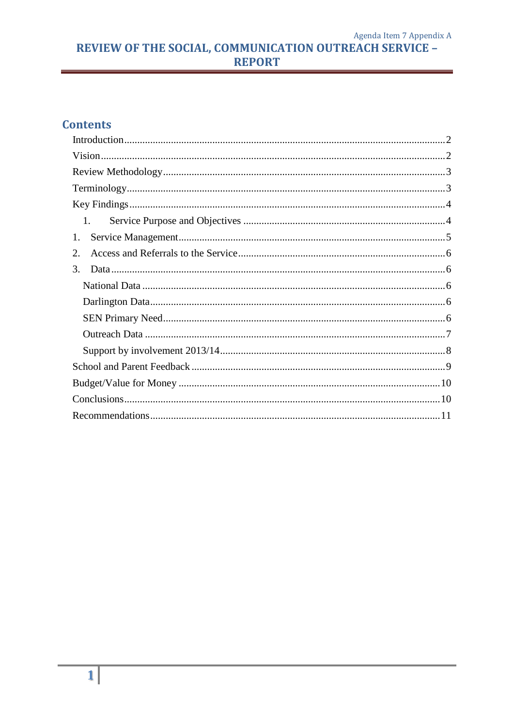Agenda Item 7 Appendix A **REVIEW OF THE SOCIAL, COMMUNICATION OUTREACH SERVICE -**<br>REPORT

# **Contents**

| $1_{-}$ |  |
|---------|--|
| 1.      |  |
| 2.      |  |
| 3.      |  |
|         |  |
|         |  |
|         |  |
|         |  |
|         |  |
|         |  |
|         |  |
|         |  |
|         |  |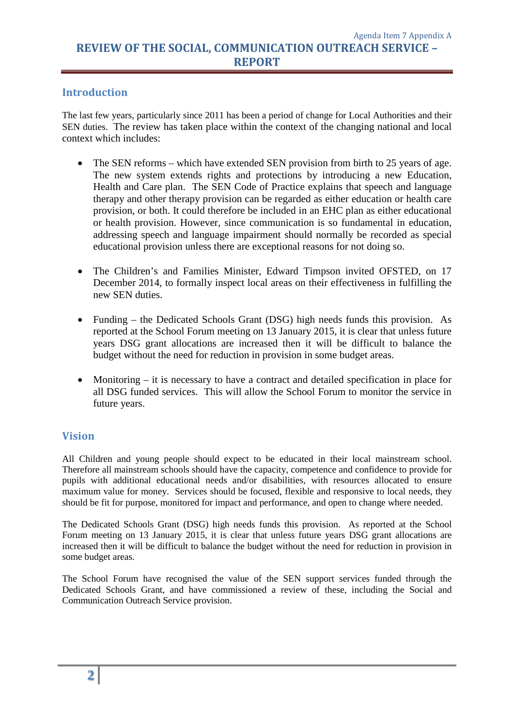### <span id="page-1-0"></span>**Introduction**

The last few years, particularly since 2011 has been a period of change for Local Authorities and their SEN duties. The review has taken place within the context of the changing national and local context which includes:

- The SEN reforms which have extended SEN provision from birth to 25 years of age. The new system extends rights and protections by introducing a new Education, Health and Care plan. The SEN Code of Practice explains that speech and language therapy and other therapy provision can be regarded as either education or health care provision, or both. It could therefore be included in an EHC plan as either educational or health provision. However, since communication is so fundamental in education, addressing speech and language impairment should normally be recorded as special educational provision unless there are exceptional reasons for not doing so.
- The Children's and Families Minister, Edward Timpson invited OFSTED, on 17 December 2014, to formally inspect local areas on their effectiveness in fulfilling the new SEN duties.
- Funding the Dedicated Schools Grant (DSG) high needs funds this provision. As reported at the School Forum meeting on 13 January 2015, it is clear that unless future years DSG grant allocations are increased then it will be difficult to balance the budget without the need for reduction in provision in some budget areas.
- Monitoring it is necessary to have a contract and detailed specification in place for all DSG funded services. This will allow the School Forum to monitor the service in future years.

### <span id="page-1-1"></span>**Vision**

All Children and young people should expect to be educated in their local mainstream school. Therefore all mainstream schools should have the capacity, competence and confidence to provide for pupils with additional educational needs and/or disabilities, with resources allocated to ensure maximum value for money. Services should be focused, flexible and responsive to local needs, they should be fit for purpose, monitored for impact and performance, and open to change where needed.

The Dedicated Schools Grant (DSG) high needs funds this provision. As reported at the School Forum meeting on 13 January 2015, it is clear that unless future years DSG grant allocations are increased then it will be difficult to balance the budget without the need for reduction in provision in some budget areas.

The School Forum have recognised the value of the SEN support services funded through the Dedicated Schools Grant, and have commissioned a review of these, including the Social and Communication Outreach Service provision.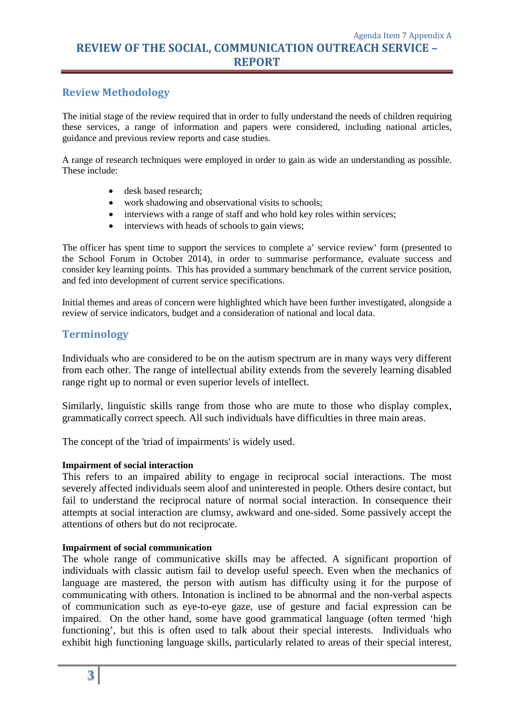## <span id="page-2-0"></span>**Review Methodology**

The initial stage of the review required that in order to fully understand the needs of children requiring these services, a range of information and papers were considered, including national articles, guidance and previous review reports and case studies.

A range of research techniques were employed in order to gain as wide an understanding as possible. These include:

- desk based research;
- work shadowing and observational visits to schools;
- interviews with a range of staff and who hold key roles within services;
- interviews with heads of schools to gain views;

The officer has spent time to support the services to complete a' service review' form (presented to the School Forum in October 2014), in order to summarise performance, evaluate success and consider key learning points. This has provided a summary benchmark of the current service position, and fed into development of current service specifications.

Initial themes and areas of concern were highlighted which have been further investigated, alongside a review of service indicators, budget and a consideration of national and local data.

#### <span id="page-2-1"></span>**Terminology**

Individuals who are considered to be on the autism spectrum are in many ways very different from each other. The range of intellectual ability extends from the severely learning disabled range right up to normal or even superior levels of intellect.

Similarly, linguistic skills range from those who are mute to those who display complex, grammatically correct speech. All such individuals have difficulties in three main areas.

The concept of the 'triad of impairments' is widely used.

#### **Impairment of social interaction**

This refers to an impaired ability to engage in reciprocal social interactions. The most severely affected individuals seem aloof and uninterested in people. Others desire contact, but fail to understand the reciprocal nature of normal social interaction. In consequence their attempts at social interaction are clumsy, awkward and one-sided. Some passively accept the attentions of others but do not reciprocate.

#### **Impairment of social communication**

The whole range of communicative skills may be affected. A significant proportion of individuals with classic autism fail to develop useful speech. Even when the mechanics of language are mastered, the person with autism has difficulty using it for the purpose of communicating with others. Intonation is inclined to be abnormal and the non-verbal aspects of communication such as eye-to-eye gaze, use of gesture and facial expression can be impaired. On the other hand, some have good grammatical language (often termed 'high functioning', but this is often used to talk about their special interests. Individuals who exhibit high functioning language skills, particularly related to areas of their special interest,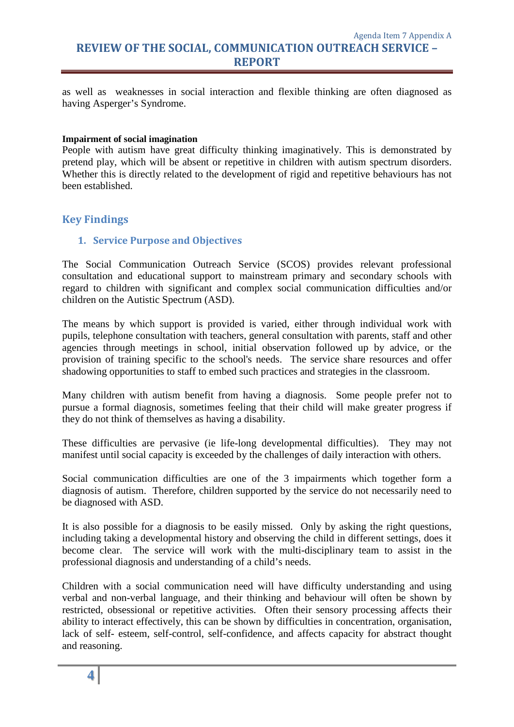Agenda Item 7 Appendix A **REVIEW OF THE SOCIAL, COMMUNICATION OUTREACH SERVICE – REPORT**

as well as weaknesses in social interaction and flexible thinking are often diagnosed as having Asperger's Syndrome.

#### **Impairment of social imagination**

People with autism have great difficulty thinking imaginatively. This is demonstrated by pretend play, which will be absent or repetitive in children with autism spectrum disorders. Whether this is directly related to the development of rigid and repetitive behaviours has not been established.

#### <span id="page-3-1"></span><span id="page-3-0"></span>**Key Findings**

#### **1. Service Purpose and Objectives**

The Social Communication Outreach Service (SCOS) provides relevant professional consultation and educational support to mainstream primary and secondary schools with regard to children with significant and complex social communication difficulties and/or children on the Autistic Spectrum (ASD).

The means by which support is provided is varied, either through individual work with pupils, telephone consultation with teachers, general consultation with parents, staff and other agencies through meetings in school, initial observation followed up by advice, or the provision of training specific to the school's needs. The service share resources and offer shadowing opportunities to staff to embed such practices and strategies in the classroom.

Many children with autism benefit from having a diagnosis. Some people prefer not to pursue a formal diagnosis, sometimes feeling that their child will make greater progress if they do not think of themselves as having a disability.

These difficulties are pervasive (ie life-long developmental difficulties). They may not manifest until social capacity is exceeded by the challenges of daily interaction with others.

Social communication difficulties are one of the 3 impairments which together form a diagnosis of autism. Therefore, children supported by the service do not necessarily need to be diagnosed with ASD.

It is also possible for a diagnosis to be easily missed. Only by asking the right questions, including taking a developmental history and observing the child in different settings, does it become clear. The service will work with the multi-disciplinary team to assist in the professional diagnosis and understanding of a child's needs.

Children with a social communication need will have difficulty understanding and using verbal and non-verbal language, and their thinking and behaviour will often be shown by restricted, obsessional or repetitive activities. Often their sensory processing affects their ability to interact effectively, this can be shown by difficulties in concentration, organisation, lack of self- esteem, self-control, self-confidence, and affects capacity for abstract thought and reasoning.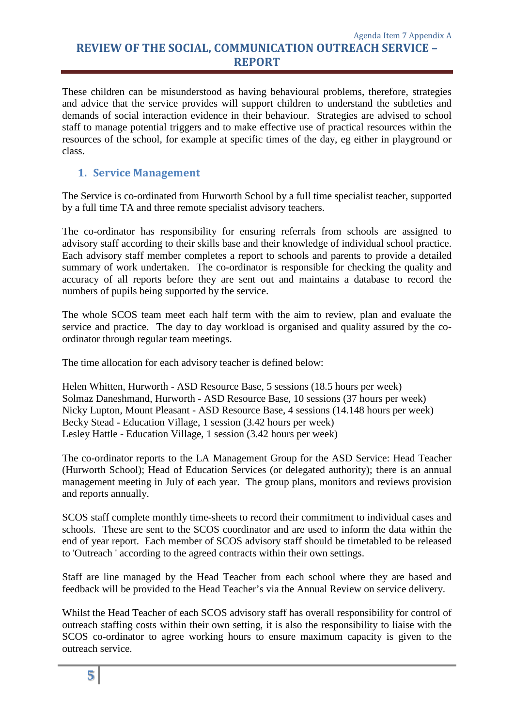These children can be misunderstood as having behavioural problems, therefore, strategies and advice that the service provides will support children to understand the subtleties and demands of social interaction evidence in their behaviour. Strategies are advised to school staff to manage potential triggers and to make effective use of practical resources within the resources of the school, for example at specific times of the day, eg either in playground or class.

## <span id="page-4-0"></span>**1. Service Management**

The Service is co-ordinated from Hurworth School by a full time specialist teacher, supported by a full time TA and three remote specialist advisory teachers.

The co-ordinator has responsibility for ensuring referrals from schools are assigned to advisory staff according to their skills base and their knowledge of individual school practice. Each advisory staff member completes a report to schools and parents to provide a detailed summary of work undertaken. The co-ordinator is responsible for checking the quality and accuracy of all reports before they are sent out and maintains a database to record the numbers of pupils being supported by the service.

The whole SCOS team meet each half term with the aim to review, plan and evaluate the service and practice. The day to day workload is organised and quality assured by the coordinator through regular team meetings.

The time allocation for each advisory teacher is defined below:

Helen Whitten, Hurworth - ASD Resource Base, 5 sessions (18.5 hours per week) Solmaz Daneshmand, Hurworth - ASD Resource Base, 10 sessions (37 hours per week) Nicky Lupton, Mount Pleasant - ASD Resource Base, 4 sessions (14.148 hours per week) Becky Stead - Education Village, 1 session (3.42 hours per week) Lesley Hattle - Education Village, 1 session (3.42 hours per week)

The co-ordinator reports to the LA Management Group for the ASD Service: Head Teacher (Hurworth School); Head of Education Services (or delegated authority); there is an annual management meeting in July of each year. The group plans, monitors and reviews provision and reports annually.

SCOS staff complete monthly time-sheets to record their commitment to individual cases and schools. These are sent to the SCOS coordinator and are used to inform the data within the end of year report. Each member of SCOS advisory staff should be timetabled to be released to 'Outreach ' according to the agreed contracts within their own settings.

Staff are line managed by the Head Teacher from each school where they are based and feedback will be provided to the Head Teacher's via the Annual Review on service delivery.

Whilst the Head Teacher of each SCOS advisory staff has overall responsibility for control of outreach staffing costs within their own setting, it is also the responsibility to liaise with the SCOS co-ordinator to agree working hours to ensure maximum capacity is given to the outreach service.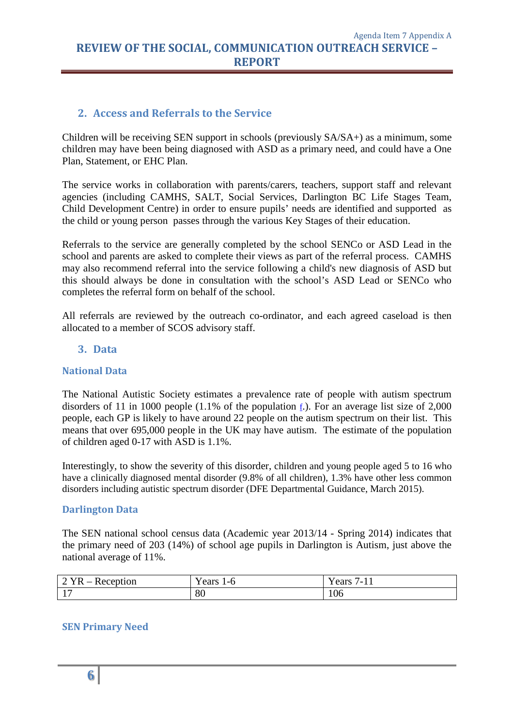## <span id="page-5-0"></span>**2. Access and Referrals to the Service**

Children will be receiving SEN support in schools (previously SA/SA+) as a minimum, some children may have been being diagnosed with ASD as a primary need, and could have a One Plan, Statement, or EHC Plan.

The service works in collaboration with parents/carers, teachers, support staff and relevant agencies (including CAMHS, SALT, Social Services, Darlington BC Life Stages Team, Child Development Centre) in order to ensure pupils' needs are identified and supported as the child or young person passes through the various Key Stages of their education.

Referrals to the service are generally completed by the school SENCo or ASD Lead in the school and parents are asked to complete their views as part of the referral process. CAMHS may also recommend referral into the service following a child's new diagnosis of ASD but this should always be done in consultation with the school's ASD Lead or SENCo who completes the referral form on behalf of the school.

All referrals are reviewed by the outreach co-ordinator, and each agreed caseload is then allocated to a member of SCOS advisory staff.

### <span id="page-5-1"></span>**3. Data**

### <span id="page-5-2"></span>**National Data**

The National Autistic Society estimates a prevalence rate of people with autism spectrum disorders of 11 in 1000 people (1.1% of the population  $\epsilon$ ). For an average list size of 2,000 people, each GP is likely to have around 22 people on the autism spectrum on their list. This means that over 695,000 people in the UK may have autism. The estimate of the population of children aged 0-17 with ASD is 1.1%.

Interestingly, to show the severity of this disorder, children and young people aged 5 to 16 who have a clinically diagnosed mental disorder (9.8% of all children), 1.3% have other less common disorders including autistic spectrum disorder (DFE Departmental Guidance, March 2015).

### <span id="page-5-3"></span>**Darlington Data**

The SEN national school census data (Academic year 2013/14 - Spring 2014) indicates that the primary need of 203 (14%) of school age pupils in Darlington is Autism, just above the national average of 11%.

| otion<br>. .<br>$\overline{\phantom{a}}$<br>1 I/<br>$- - - -$<br>$\overline{\phantom{0}}$ | - -<br>ears<br>— t | $\mathbf{v}$<br>ears<br>.<br>. . |
|-------------------------------------------------------------------------------------------|--------------------|----------------------------------|
| $\sim$<br>. .                                                                             | 80                 | 100                              |

### <span id="page-5-4"></span>**SEN Primary Need**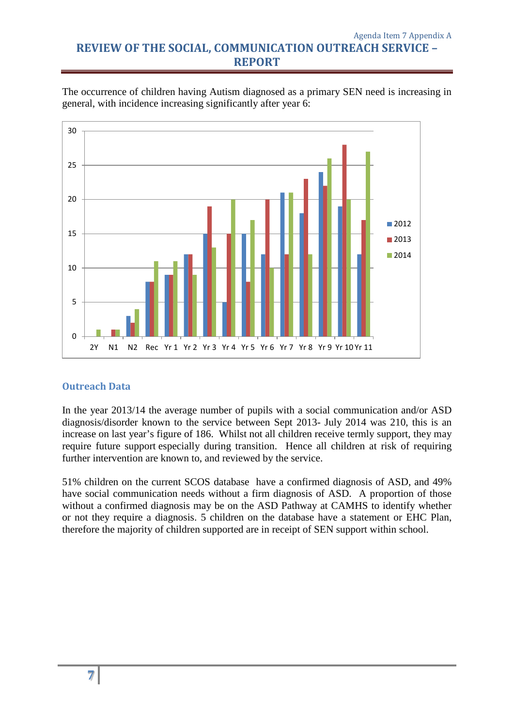#### Agenda Item 7 Appendix A **REVIEW OF THE SOCIAL, COMMUNICATION OUTREACH SERVICE – REPORT**

The occurrence of children having Autism diagnosed as a primary SEN need is increasing in general, with incidence increasing significantly after year 6:



#### <span id="page-6-0"></span>**Outreach Data**

In the year 2013/14 the average number of pupils with a social communication and/or ASD diagnosis/disorder known to the service between Sept 2013- July 2014 was 210, this is an increase on last year's figure of 186. Whilst not all children receive termly support, they may require future support especially during transition. Hence all children at risk of requiring further intervention are known to, and reviewed by the service.

51% children on the current SCOS database have a confirmed diagnosis of ASD, and 49% have social communication needs without a firm diagnosis of ASD. A proportion of those without a confirmed diagnosis may be on the ASD Pathway at CAMHS to identify whether or not they require a diagnosis. 5 children on the database have a statement or EHC Plan, therefore the majority of children supported are in receipt of SEN support within school.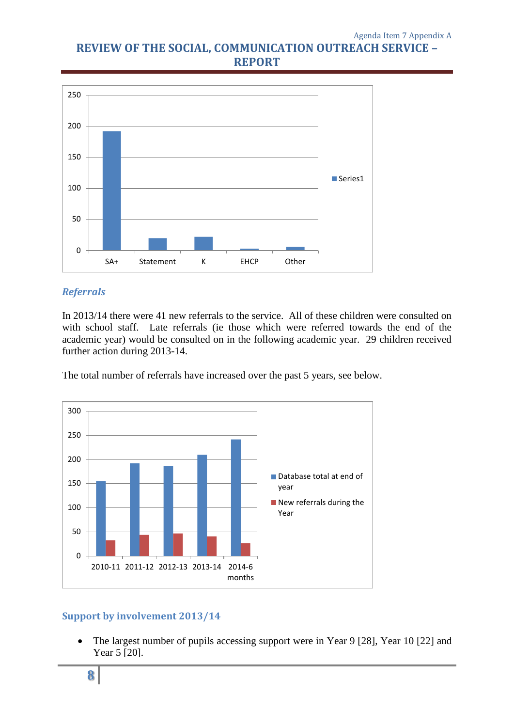# **REVIEW OF THE SOCIAL, COMMUNICATION OUTREACH SERVICE – REPORT**



### *Referrals*

In 2013/14 there were 41 new referrals to the service. All of these children were consulted on with school staff. Late referrals (ie those which were referred towards the end of the academic year) would be consulted on in the following academic year. 29 children received further action during 2013-14.

The total number of referrals have increased over the past 5 years, see below.



## <span id="page-7-0"></span>**Support by involvement 2013/14**

• The largest number of pupils accessing support were in Year 9 [28], Year 10 [22] and Year 5 [20].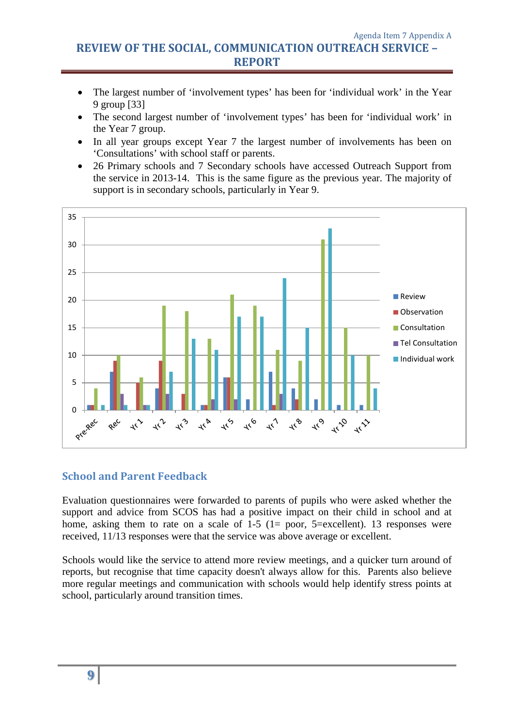- The largest number of 'involvement types' has been for 'individual work' in the Year 9 group [33]
- The second largest number of 'involvement types' has been for 'individual work' in the Year 7 group.
- In all year groups except Year 7 the largest number of involvements has been on 'Consultations' with school staff or parents.
- 26 Primary schools and 7 Secondary schools have accessed Outreach Support from the service in 2013-14. This is the same figure as the previous year. The majority of support is in secondary schools, particularly in Year 9.



### <span id="page-8-0"></span>**School and Parent Feedback**

Evaluation questionnaires were forwarded to parents of pupils who were asked whether the support and advice from SCOS has had a positive impact on their child in school and at home, asking them to rate on a scale of  $1-5$  ( $1=$  poor,  $5=$ excellent). 13 responses were received, 11/13 responses were that the service was above average or excellent.

Schools would like the service to attend more review meetings, and a quicker turn around of reports, but recognise that time capacity doesn't always allow for this. Parents also believe more regular meetings and communication with schools would help identify stress points at school, particularly around transition times.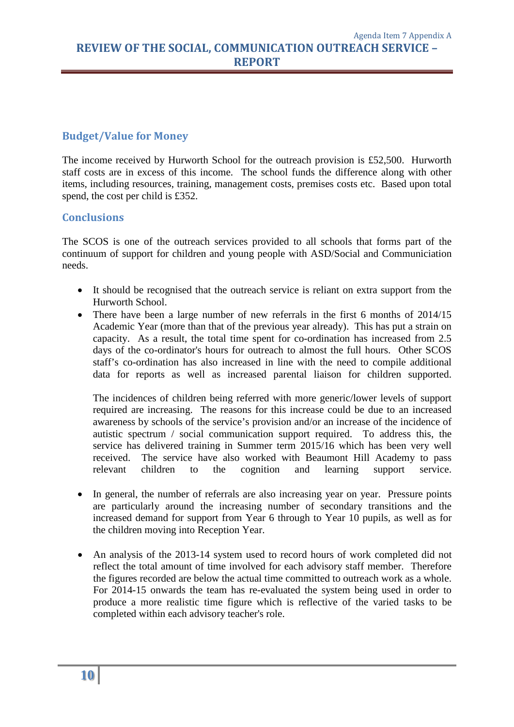## <span id="page-9-0"></span>**Budget/Value for Money**

The income received by Hurworth School for the outreach provision is £52,500. Hurworth staff costs are in excess of this income. The school funds the difference along with other items, including resources, training, management costs, premises costs etc. Based upon total spend, the cost per child is £352.

### <span id="page-9-1"></span>**Conclusions**

The SCOS is one of the outreach services provided to all schools that forms part of the continuum of support for children and young people with ASD/Social and Communiciation needs.

- It should be recognised that the outreach service is reliant on extra support from the Hurworth School.
- There have been a large number of new referrals in the first 6 months of 2014/15 Academic Year (more than that of the previous year already). This has put a strain on capacity. As a result, the total time spent for co-ordination has increased from 2.5 days of the co-ordinator's hours for outreach to almost the full hours. Other SCOS staff's co-ordination has also increased in line with the need to compile additional data for reports as well as increased parental liaison for children supported.

The incidences of children being referred with more generic/lower levels of support required are increasing. The reasons for this increase could be due to an increased awareness by schools of the service's provision and/or an increase of the incidence of autistic spectrum / social communication support required. To address this, the service has delivered training in Summer term 2015/16 which has been very well received. The service have also worked with Beaumont Hill Academy to pass relevant children to the cognition and learning support service.

- In general, the number of referrals are also increasing year on year. Pressure points are particularly around the increasing number of secondary transitions and the increased demand for support from Year 6 through to Year 10 pupils, as well as for the children moving into Reception Year.
- An analysis of the 2013-14 system used to record hours of work completed did not reflect the total amount of time involved for each advisory staff member. Therefore the figures recorded are below the actual time committed to outreach work as a whole. For 2014-15 onwards the team has re-evaluated the system being used in order to produce a more realistic time figure which is reflective of the varied tasks to be completed within each advisory teacher's role.